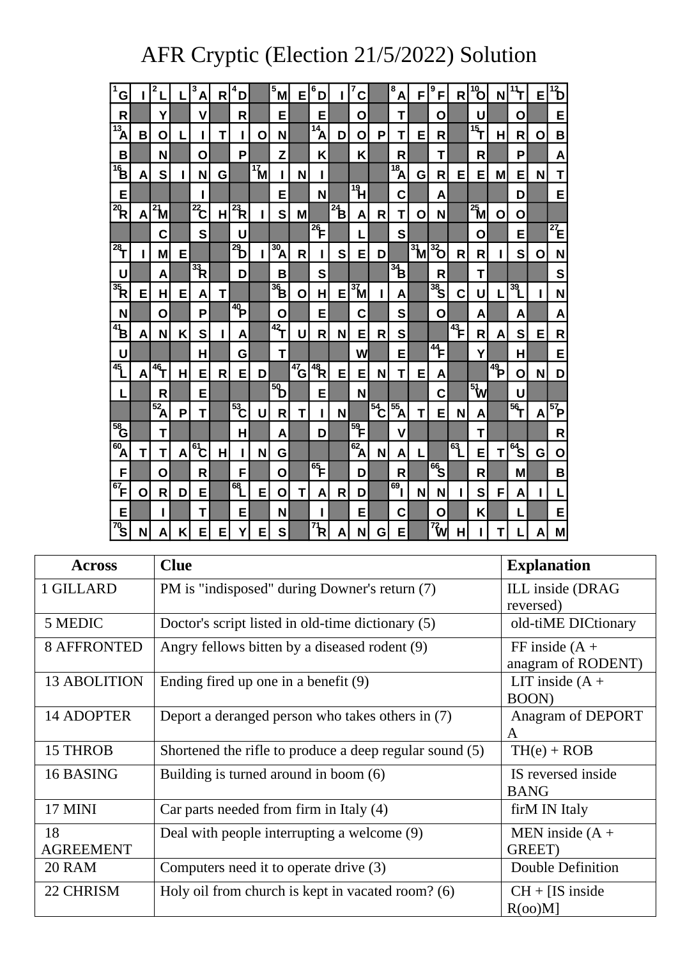## AFR Cryptic (Election 21/5/2022) Solution

| $\overline{\mathbf{1}}$<br>G |   | 2                   |   | 3<br>A                     | R | 4<br>D                  |                              | $4^{\overline{5}}$ M                                       | E                | 6<br>D                                |                             | 7<br>C                  |                  | 8<br>A                         | F                           | 9<br>F            | R              | $\overline{10}$             | N               | 11<br>т         | E | $\overline{12}$      |
|------------------------------|---|---------------------|---|----------------------------|---|-------------------------|------------------------------|------------------------------------------------------------|------------------|---------------------------------------|-----------------------------|-------------------------|------------------|--------------------------------|-----------------------------|-------------------|----------------|-----------------------------|-----------------|-----------------|---|----------------------|
| R                            |   | Υ                   |   | v                          |   | R                       |                              | E                                                          |                  | E                                     |                             | O                       |                  | Т                              |                             | O                 |                | U                           |                 | О               |   | E                    |
| $\overline{13}_{A}$          | в | 0                   |   |                            | т |                         | Ο                            | N                                                          |                  | $\overline{^{14}}$ A                  | D                           | O                       | P                | т                              | E                           | R                 |                | $\overline{15}$             | Н               | R               | O | B                    |
| B                            |   | N                   |   | О                          |   | P                       |                              | Z                                                          |                  | Κ                                     |                             | K                       |                  | R                              |                             | T                 |                | R                           |                 | P               |   | A                    |
| $\mathbf{B}^{\prime}$        | A | S                   |   | N                          | G |                         | $\boldsymbol{\mathrm{17}}$ M |                                                            | N                | I                                     |                             |                         |                  | $\overline{18}_{\overline{A}}$ | G                           | R                 | Е              | Е                           | M               | Е               | N | T                    |
| E                            |   |                     |   |                            |   |                         |                              | Е                                                          |                  | N                                     |                             | $\overline{\mathbb{P}}$ |                  | C                              |                             | A                 |                |                             |                 | D               |   | E                    |
| $\overline{^{20}}$ R         | Α | $\overline{^{2}}$ M |   | $\overline{^{22}}$ C       | H | $\overline{\mathbf{R}}$ |                              | S                                                          | M                |                                       | $\overline{a}$ <sub>B</sub> | A                       | R                | т                              | O                           | N                 |                | $\overline{^{25}}$ M        | O               | О               |   |                      |
|                              |   | C                   |   | S                          |   | U                       |                              |                                                            |                  | $\frac{1}{26}$                        |                             |                         |                  | S                              |                             |                   |                | О                           |                 | E               |   | $^{27}E$             |
| $\overline{28}$              |   | M                   | Е |                            |   | $^{29}$                 |                              | 30 <sub>1</sub><br>Ά                                       | R                | ı                                     | S                           | Е                       | D                |                                | $\frac{1}{3}$ $\frac{1}{2}$ | $\frac{1}{32}$    | R              | R                           |                 | S               | О | N                    |
| U                            |   | A                   |   | $\frac{1}{3}$ <sub>R</sub> |   | D                       |                              | B                                                          |                  | S                                     |                             |                         |                  | $\frac{1}{34}$                 |                             | R                 |                | T                           |                 |                 |   | S                    |
| $\overline{\mathbb{R}}$      | E | Н                   | Е | Α                          | T |                         |                              | $\overline{36}$                                            | Ο                | Н                                     | Е                           | $3\mathsf{M}$           |                  | Α                              |                             | $\frac{36}{36}$   | C              | U                           |                 | 39              | ı | N                    |
| N                            |   | О                   |   | P                          |   | $\overline{40}$         |                              | О                                                          |                  | Е                                     |                             | С                       |                  | S                              |                             | O                 |                | Α                           |                 | Α               |   | A                    |
| $\boldsymbol{B}^4$           | A | N                   | Κ | S                          | ı | Α                       |                              | $\overline{42}$                                            | U                | R                                     | N                           | E                       | R                | S                              |                             |                   | $\frac{4}{43}$ | R                           | А               | S               | Е | R                    |
| U                            |   |                     |   | Н                          |   | G                       |                              | Т                                                          |                  |                                       |                             | W                       |                  | E                              |                             | $\frac{4}{4}$     |                | Y                           |                 | н               |   | E                    |
| 45                           | A | $46 -$              | н | Е                          | R | E                       | D                            |                                                            | $\frac{1}{47}$ G | $\frac{4}{48}$                        | Е                           | E                       | N                | Т                              | E                           | А                 |                |                             | $\frac{4}{49}P$ | O               | N | D                    |
| L                            |   | R                   |   | E                          |   |                         |                              | $\overline{\overline{\overline{\overline{\overline{9}}}}}$ |                  | Е                                     |                             | N                       |                  |                                |                             | C                 |                | $\frac{1}{2}$ $\frac{1}{2}$ |                 | U               |   |                      |
|                              |   | $52$ A              | P | Т                          |   | $\frac{1}{53}$          | U                            | R                                                          | Т                | I                                     | N                           |                         | $\frac{1}{54}$ C | $\overline{55}A$               | Т                           | E                 | N              | А                           |                 | $\overline{56}$ | Α | $\overline{^{57}}$ P |
|                              |   | T                   |   |                            |   | н                       |                              | Α                                                          |                  | D                                     |                             | $\frac{1}{59}$          |                  | V                              |                             |                   |                | Τ                           |                 |                 |   | $\mathsf{R}$         |
| $\overline{^{60}}$ A         | Т | Т                   | Α | $\overline{\hat{61}}$      | Н |                         | N                            | G                                                          |                  |                                       |                             | $\overline{62}$ A       | N                | Α                              | L                           |                   | 63             | E                           | Т               | $rac{2}{64}$    | G | O                    |
| F                            |   | О                   |   | R                          |   | F                       |                              | О                                                          |                  | $\overline{\mathbf{e}}$               |                             | D                       |                  | R                              |                             | $-66$             |                | R                           |                 | M               |   | B                    |
| $^{67}$ F                    | О | R                   | D | E                          |   | 68                      | E                            | O                                                          | Т                | A                                     | R                           | D                       |                  | 69.                            | N                           | N                 |                | S                           | F               | Α               | П | L                    |
| Е                            |   |                     |   | Т                          |   | E                       |                              | N                                                          |                  |                                       |                             | Е                       |                  | C                              |                             | O                 |                | Κ                           |                 |                 |   | E                    |
| 70 <sub>S</sub>              | N | A                   | Κ | Е                          | Е | Y                       | Е                            | S                                                          |                  | $\overline{\mathcal{P}}$ <sub>R</sub> | Α                           | N                       | G                | Е                              |                             | $\overline{72}$ W | н              |                             | Т               |                 | Α | M                    |

| <b>Across</b>          | <b>Clue</b>                                             | <b>Explanation</b>                     |
|------------------------|---------------------------------------------------------|----------------------------------------|
| 1 GILLARD              | PM is "indisposed" during Downer's return (7)           | ILL inside (DRAG)<br>reversed)         |
| 5 MEDIC                | Doctor's script listed in old-time dictionary (5)       | old-tiME DICtionary                    |
| <b>8 AFFRONTED</b>     | Angry fellows bitten by a diseased rodent (9)           | FF inside $(A +$<br>anagram of RODENT) |
| <b>13 ABOLITION</b>    | Ending fired up one in a benefit (9)                    | LIT inside $(A +$<br>BOON)             |
| <b>14 ADOPTER</b>      | Deport a deranged person who takes others in (7)        | Anagram of DEPORT<br>A                 |
| 15 THROB               | Shortened the rifle to produce a deep regular sound (5) | $TH(e) + ROB$                          |
| 16 BASING              | Building is turned around in boom (6)                   | IS reversed inside<br><b>BANG</b>      |
| <b>17 MINI</b>         | Car parts needed from firm in Italy (4)                 | firM IN Italy                          |
| 18<br><b>AGREEMENT</b> | Deal with people interrupting a welcome (9)             | MEN inside $(A +$<br>GREET)            |
| <b>20 RAM</b>          | Computers need it to operate drive (3)                  | Double Definition                      |
| 22 CHRISM              | Holy oil from church is kept in vacated room? (6)       | $CH + [IS inside]$<br>R(oo)M           |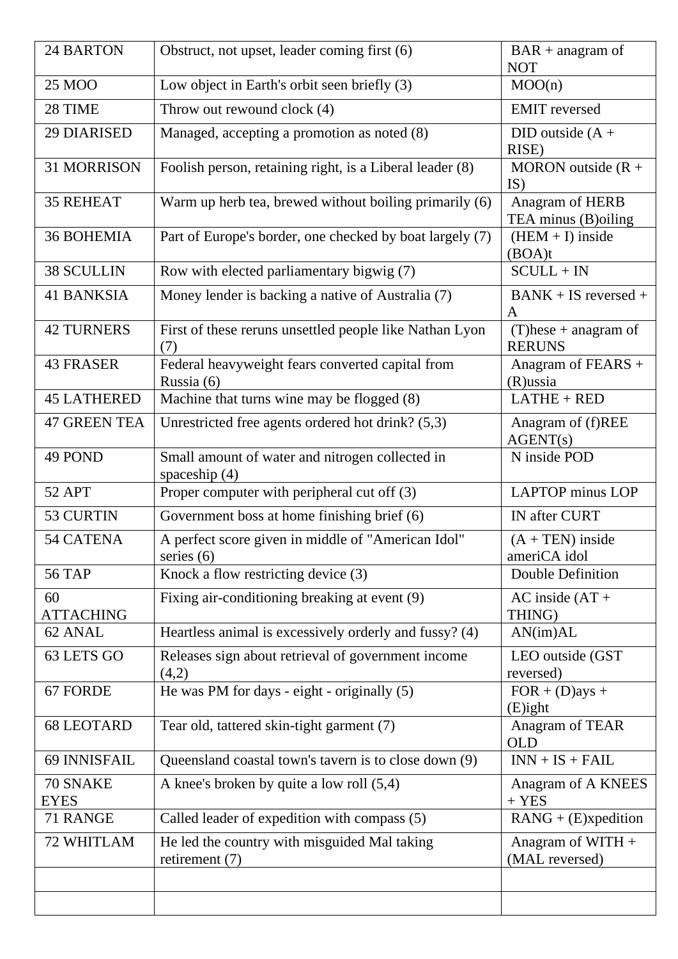| <b>24 BARTON</b>        | Obstruct, not upset, leader coming first (6)                       | $BAR + anagram of$<br><b>NOT</b>         |  |  |
|-------------------------|--------------------------------------------------------------------|------------------------------------------|--|--|
| 25 MOO                  | Low object in Earth's orbit seen briefly (3)                       | MOO(n)                                   |  |  |
| 28 TIME                 | Throw out rewound clock (4)                                        | <b>EMIT</b> reversed                     |  |  |
| <b>29 DIARISED</b>      | Managed, accepting a promotion as noted (8)                        | DID outside $(A +$<br>RISE)              |  |  |
| 31 MORRISON             | Foolish person, retaining right, is a Liberal leader (8)           | MORON outside $(R +$<br>IS)              |  |  |
| <b>35 REHEAT</b>        | Warm up herb tea, brewed without boiling primarily (6)             | Anagram of HERB<br>TEA minus (B)oiling   |  |  |
| <b>36 BOHEMIA</b>       | Part of Europe's border, one checked by boat largely (7)           | $(HEM + I)$ inside<br>(BOA)t             |  |  |
| <b>38 SCULLIN</b>       | Row with elected parliamentary bigwig (7)                          | $SCULL + IN$                             |  |  |
| <b>41 BANKSIA</b>       | Money lender is backing a native of Australia (7)                  | $BANK + IS$ reversed +<br>A              |  |  |
| <b>42 TURNERS</b>       | First of these reruns unsettled people like Nathan Lyon<br>(7)     | $(T)$ hese + anagram of<br><b>RERUNS</b> |  |  |
| <b>43 FRASER</b>        | Federal heavyweight fears converted capital from<br>Russia (6)     | Anagram of FEARS $+$<br>$(R)$ ussia      |  |  |
| <b>45 LATHERED</b>      | Machine that turns wine may be flogged (8)                         | $LATHE + RED$                            |  |  |
| <b>47 GREEN TEA</b>     | Unrestricted free agents ordered hot drink? (5,3)                  | Anagram of (f)REE<br>AGENT(s)            |  |  |
| 49 POND                 | Small amount of water and nitrogen collected in<br>spaceship $(4)$ | N inside POD                             |  |  |
| 52 APT                  | Proper computer with peripheral cut off (3)                        | <b>LAPTOP</b> minus LOP                  |  |  |
| 53 CURTIN               | Government boss at home finishing brief (6)                        | IN after CURT                            |  |  |
| 54 CATENA               | A perfect score given in middle of "American Idol"<br>series $(6)$ | $(A + TEN)$ inside<br>ameriCA idol       |  |  |
| <b>56 TAP</b>           | Knock a flow restricting device (3)                                | Double Definition                        |  |  |
| 60<br><b>ATTACHING</b>  | Fixing air-conditioning breaking at event (9)                      | $AC$ inside $(AT +$<br>THING)            |  |  |
| 62 ANAL                 | Heartless animal is excessively orderly and fussy? (4)             | AN(im)AL                                 |  |  |
| 63 LETS GO              | Releases sign about retrieval of government income<br>(4,2)        | LEO outside (GST<br>reversed)            |  |  |
| 67 FORDE                | He was PM for days - eight - originally (5)                        | $FOR + (D)$ ays +<br>$(E)$ ight          |  |  |
| <b>68 LEOTARD</b>       | Tear old, tattered skin-tight garment (7)                          | Anagram of TEAR<br><b>OLD</b>            |  |  |
| 69 INNISFAIL            | Queensland coastal town's tavern is to close down (9)              | $INN + IS + FAIL$                        |  |  |
| 70 SNAKE<br><b>EYES</b> | A knee's broken by quite a low roll (5,4)                          | Anagram of A KNEES<br>$+$ YES            |  |  |
| 71 RANGE                | Called leader of expedition with compass (5)                       | $RANG + (E)$ xpedition                   |  |  |
| 72 WHITLAM              | He led the country with misguided Mal taking<br>retirement $(7)$   | Anagram of WITH $+$<br>(MAL reversed)    |  |  |
|                         |                                                                    |                                          |  |  |
|                         |                                                                    |                                          |  |  |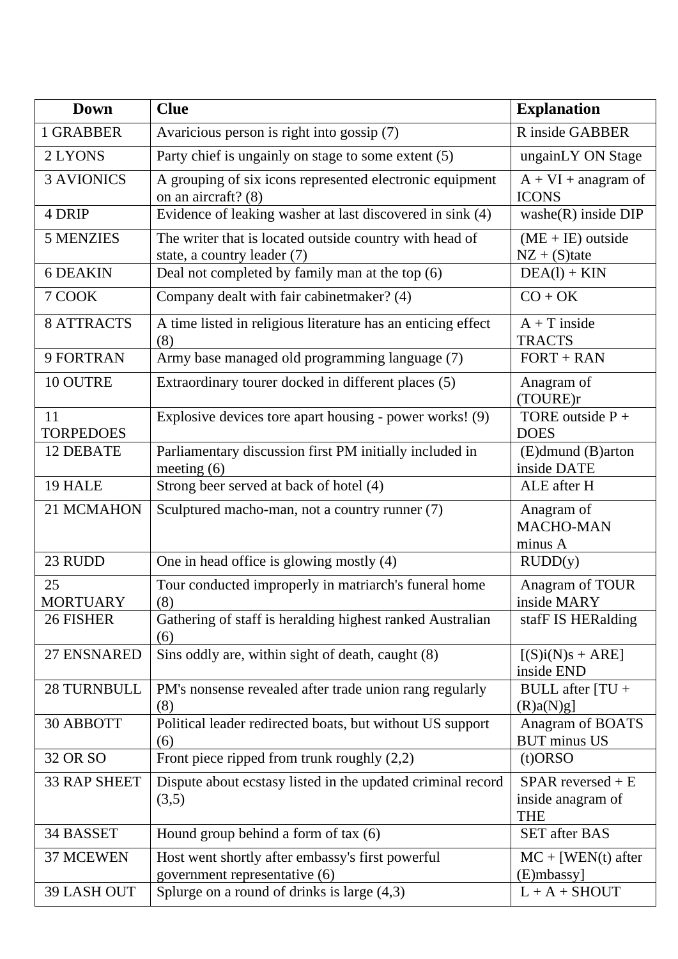| <b>Down</b>            | <b>Clue</b>                                                                            | <b>Explanation</b>                                     |  |  |
|------------------------|----------------------------------------------------------------------------------------|--------------------------------------------------------|--|--|
| 1 GRABBER              | Avaricious person is right into gossip (7)                                             | R inside GABBER                                        |  |  |
| 2 LYONS                | Party chief is ungainly on stage to some extent (5)                                    | ungainLY ON Stage                                      |  |  |
| <b>3 AVIONICS</b>      | A grouping of six icons represented electronic equipment<br>on an aircraft? (8)        | $A + VI + anagram of$<br><b>ICONS</b>                  |  |  |
| 4 DRIP                 | Evidence of leaking washer at last discovered in sink (4)                              | $washe(R)$ inside DIP                                  |  |  |
| <b>5 MENZIES</b>       | The writer that is located outside country with head of<br>state, a country leader (7) | $(ME + IE)$ outside<br>$NZ + (S)$ tate                 |  |  |
| <b>6 DEAKIN</b>        | Deal not completed by family man at the top (6)                                        | $DEA(l) + KIN$                                         |  |  |
| 7 COOK                 | Company dealt with fair cabinetmaker? (4)                                              | $CO + OK$                                              |  |  |
| <b>8 ATTRACTS</b>      | A time listed in religious literature has an enticing effect<br>(8)                    | $A + T$ inside<br><b>TRACTS</b>                        |  |  |
| 9 FORTRAN              | Army base managed old programming language (7)                                         | $FORT + RAN$                                           |  |  |
| 10 OUTRE               | Extraordinary tourer docked in different places (5)                                    | Anagram of<br>(TOURE)r                                 |  |  |
| 11<br><b>TORPEDOES</b> | Explosive devices tore apart housing - power works! (9)                                | TORE outside $P +$<br><b>DOES</b>                      |  |  |
| 12 DEBATE              | Parliamentary discussion first PM initially included in<br>meeting $(6)$               | (E)dmund (B)arton<br>inside DATE                       |  |  |
| 19 HALE                | Strong beer served at back of hotel (4)                                                | ALE after H                                            |  |  |
| 21 MCMAHON             | Sculptured macho-man, not a country runner (7)                                         | Anagram of<br>MACHO-MAN<br>minus A                     |  |  |
| 23 RUDD                | One in head office is glowing mostly (4)                                               | RUDD(y)                                                |  |  |
| 25<br><b>MORTUARY</b>  | Tour conducted improperly in matriarch's funeral home<br>(8)                           | Anagram of TOUR<br>inside MARY                         |  |  |
| 26 FISHER              | Gathering of staff is heralding highest ranked Australian<br>(6)                       | stafF IS HERalding                                     |  |  |
| 27 ENSNARED            | Sins oddly are, within sight of death, caught (8)                                      | $[(S)i(N)s + ARE]$<br>inside END                       |  |  |
| <b>28 TURNBULL</b>     | PM's nonsense revealed after trade union rang regularly<br>(8)                         | BULL after $ TU +$<br>(R)a(N)g                         |  |  |
| 30 ABBOTT              | Political leader redirected boats, but without US support<br>(6)                       | Anagram of BOATS<br><b>BUT</b> minus US                |  |  |
| 32 OR SO               | Front piece ripped from trunk roughly $(2,2)$                                          | $(t)$ ORSO                                             |  |  |
| <b>33 RAP SHEET</b>    | Dispute about ecstasy listed in the updated criminal record<br>(3,5)                   | $SPAR$ reversed + E<br>inside anagram of<br><b>THE</b> |  |  |
| 34 BASSET              | Hound group behind a form of tax $(6)$                                                 | <b>SET</b> after BAS                                   |  |  |
| 37 MCEWEN              | Host went shortly after embassy's first powerful<br>government representative (6)      | $MC + [WEN(t)$ after<br>$(E)$ mbassy]                  |  |  |
| 39 LASH OUT            | Splurge on a round of drinks is large $(4,3)$                                          | $L + A + SHOUT$                                        |  |  |